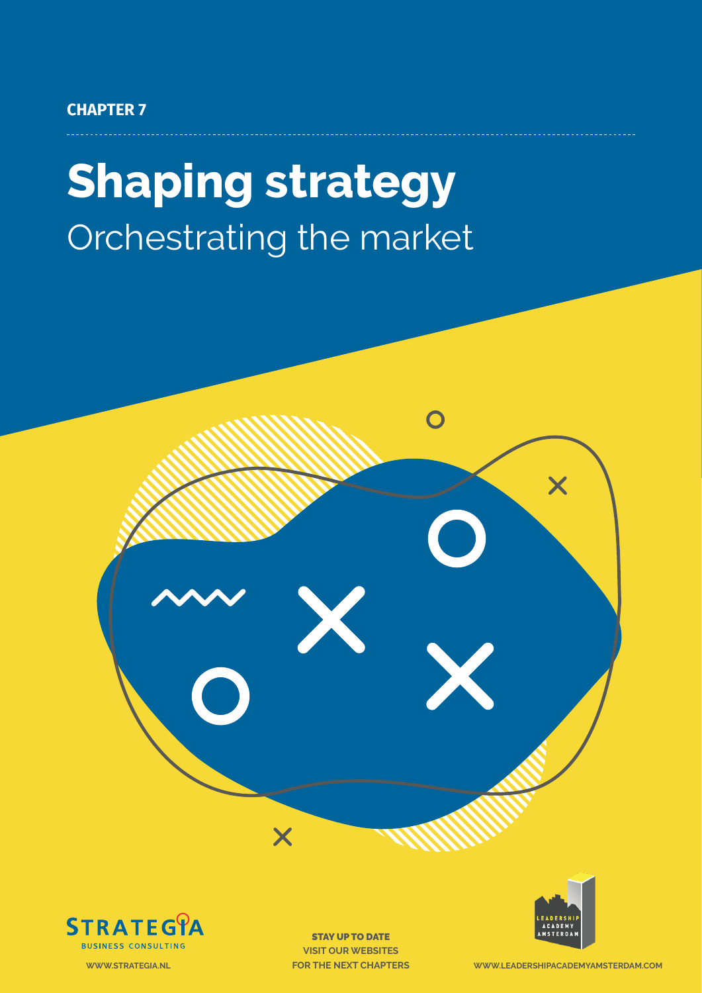#### **CHAPTER 7**

# **Shaping strategy** Orchestrating the market





STAY UP TO DATE **VISIT OUR WEBSITES**



Chapter 7: Shaping strategy - **1 WWW.STRATEGIA.NL FOR THE NEXT CHAPTERS WWW.LEADERSHIPACADEMYAMSTERDAM.COM**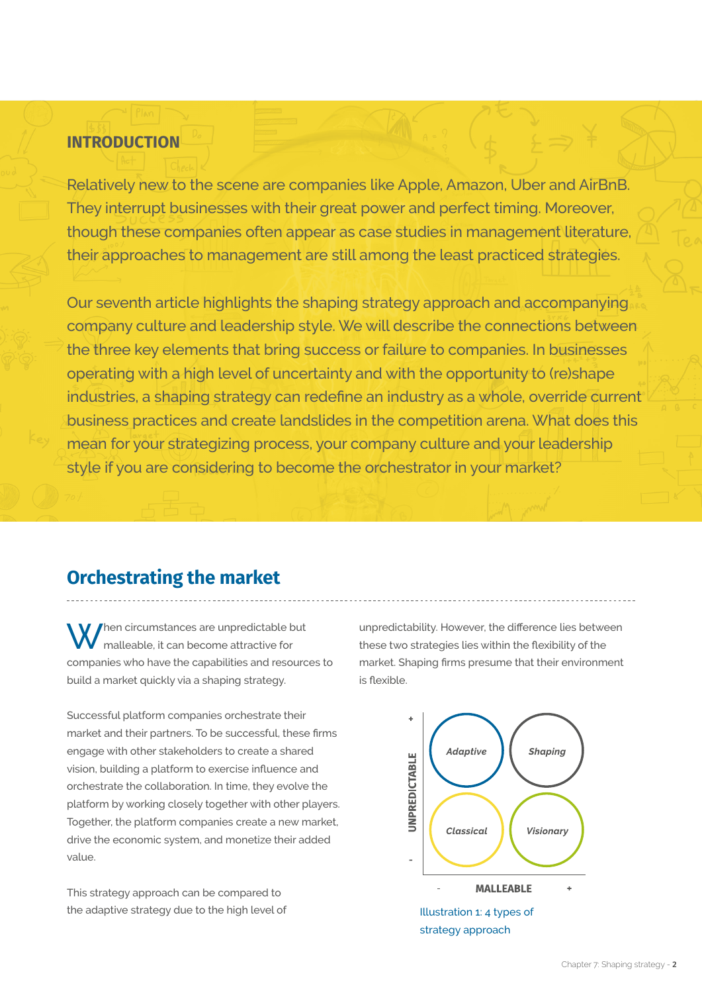#### **INTRODUCTION**

Relatively new to the scene are companies like Apple, Amazon, Uber and AirBnB. They interrupt businesses with their great power and perfect timing. Moreover, though these companies often appear as case studies in management literature, their approaches to management are still among the least practiced strategies.

Our seventh article highlights the shaping strategy approach and accompanying company culture and leadership style. We will describe the connections between the three key elements that bring success or failure to companies. In businesses operating with a high level of uncertainty and with the opportunity to (re)shape industries, a shaping strategy can redefine an industry as a whole, override current business practices and create landslides in the competition arena. What does this mean for your strategizing process, your company culture and your leadership style if you are considering to become the orchestrator in your market?

## **Orchestrating the market**

hen circumstances are unpredictable but malleable, it can become attractive for companies who have the capabilities and resources to build a market quickly via a shaping strategy.

Successful platform companies orchestrate their market and their partners. To be successful, these firms engage with other stakeholders to create a shared vision, building a platform to exercise influence and orchestrate the collaboration. In time, they evolve the platform by working closely together with other players. Together, the platform companies create a new market, drive the economic system, and monetize their added value.

This strategy approach can be compared to the adaptive strategy due to the high level of

unpredictability. However, the difference lies between these two strategies lies within the flexibility of the market. Shaping firms presume that their environment is flexible.



strategy approach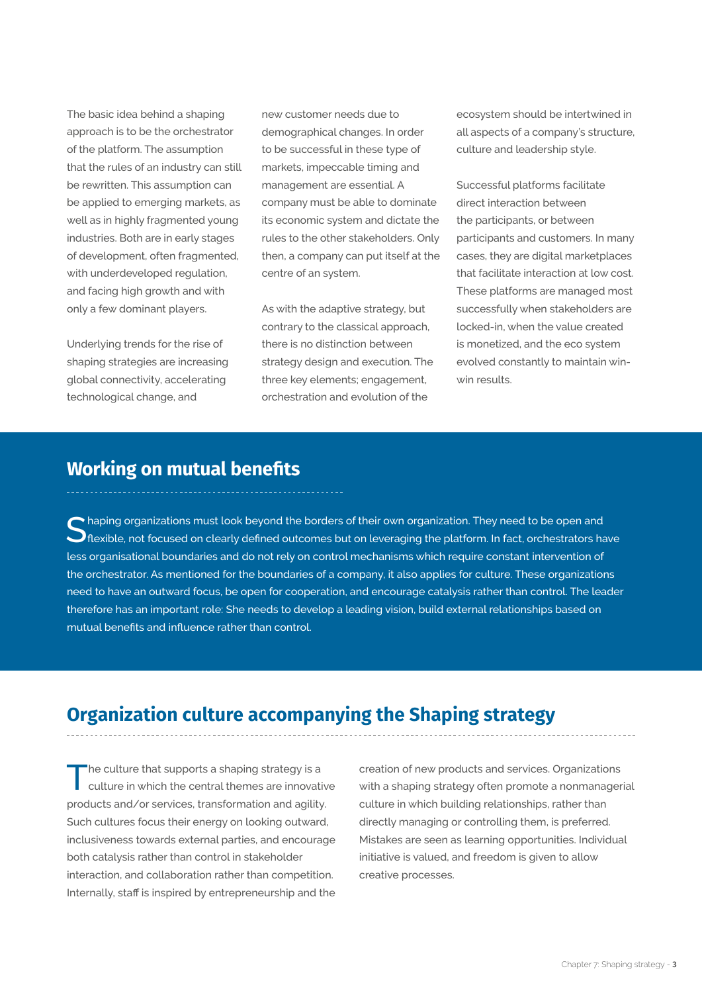The basic idea behind a shaping approach is to be the orchestrator of the platform. The assumption that the rules of an industry can still be rewritten. This assumption can be applied to emerging markets, as well as in highly fragmented young industries. Both are in early stages of development, often fragmented, with underdeveloped regulation, and facing high growth and with only a few dominant players.

Underlying trends for the rise of shaping strategies are increasing global connectivity, accelerating technological change, and

new customer needs due to demographical changes. In order to be successful in these type of markets, impeccable timing and management are essential. A company must be able to dominate its economic system and dictate the rules to the other stakeholders. Only then, a company can put itself at the centre of an system.

As with the adaptive strategy, but contrary to the classical approach, there is no distinction between strategy design and execution. The three key elements; engagement, orchestration and evolution of the

ecosystem should be intertwined in all aspects of a company's structure, culture and leadership style.

Successful platforms facilitate direct interaction between the participants, or between participants and customers. In many cases, they are digital marketplaces that facilitate interaction at low cost. These platforms are managed most successfully when stakeholders are locked-in, when the value created is monetized, and the eco system evolved constantly to maintain winwin results.

#### **Working on mutual benefits**

Shaping organizations must look beyond the borders of their own organization. They need to be open and <br>Sharible, not focused on clearly defined outcomes but on leveraging the platform. In fact, orchestrators have less organisational boundaries and do not rely on control mechanisms which require constant intervention of the orchestrator. As mentioned for the boundaries of a company, it also applies for culture. These organizations need to have an outward focus, be open for cooperation, and encourage catalysis rather than control. The leader therefore has an important role: She needs to develop a leading vision, build external relationships based on mutual benefits and influence rather than control.

## **Organization culture accompanying the Shaping strategy**

The culture that supports a shaping strategy is a culture in which the central themes are innovative products and/or services, transformation and agility. Such cultures focus their energy on looking outward, inclusiveness towards external parties, and encourage both catalysis rather than control in stakeholder interaction, and collaboration rather than competition. Internally, staff is inspired by entrepreneurship and the

creation of new products and services. Organizations with a shaping strategy often promote a nonmanagerial culture in which building relationships, rather than directly managing or controlling them, is preferred. Mistakes are seen as learning opportunities. Individual initiative is valued, and freedom is given to allow creative processes.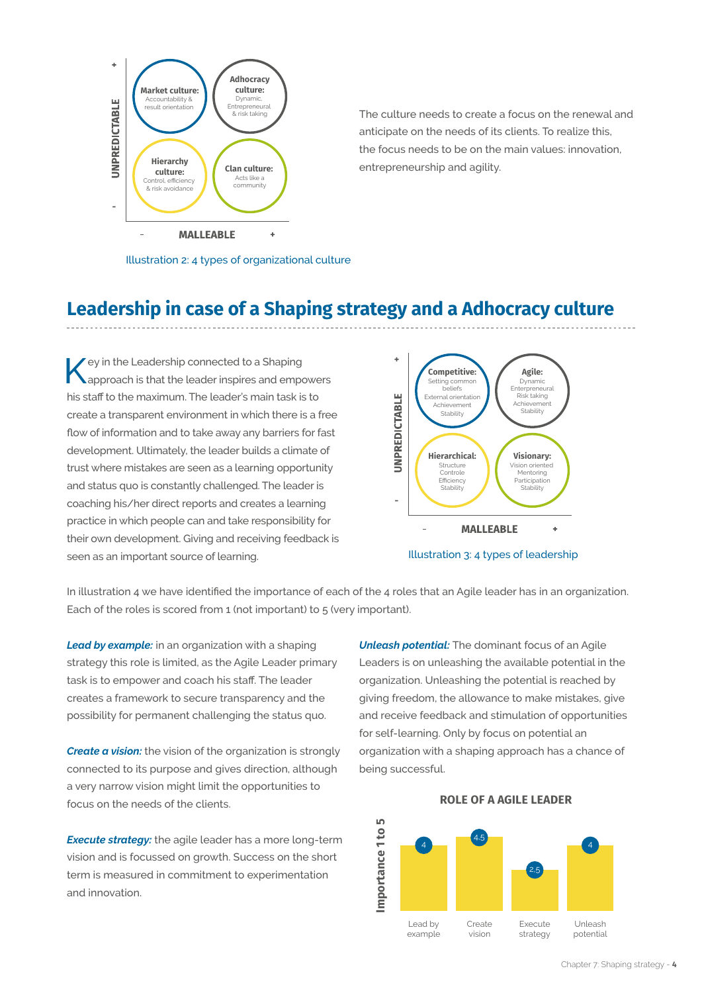

The culture needs to create a focus on the renewal and anticipate on the needs of its clients. To realize this, the focus needs to be on the main values: innovation, entrepreneurship and agility.

Illustration 2: 4 types of organizational culture

#### **Leadership in case of a Shaping strategy and a Adhocracy culture**

Key in the Leadership connected to a Shaping approach is that the leader inspires and empowers his staff to the maximum. The leader's main task is to create a transparent environment in which there is a free flow of information and to take away any barriers for fast development. Ultimately, the leader builds a climate of trust where mistakes are seen as a learning opportunity and status quo is constantly challenged. The leader is coaching his/her direct reports and creates a learning practice in which people can and take responsibility for their own development. Giving and receiving feedback is seen as an important source of learning.





In illustration 4 we have identified the importance of each of the 4 roles that an Agile leader has in an organization. Each of the roles is scored from 1 (not important) to 5 (very important).

*Lead by example:* in an organization with a shaping strategy this role is limited, as the Agile Leader primary task is to empower and coach his staff. The leader creates a framework to secure transparency and the possibility for permanent challenging the status quo.

*Create a vision:* the vision of the organization is strongly connected to its purpose and gives direction, although a very narrow vision might limit the opportunities to focus on the needs of the clients.

*Execute strategy:* the agile leader has a more long-term vision and is focussed on growth. Success on the short term is measured in commitment to experimentation and innovation.

*Unleash potential:* The dominant focus of an Agile Leaders is on unleashing the available potential in the organization. Unleashing the potential is reached by giving freedom, the allowance to make mistakes, give and receive feedback and stimulation of opportunities for self-learning. Only by focus on potential an organization with a shaping approach has a chance of being successful.



#### **ROLE OF A AGILE LEADER**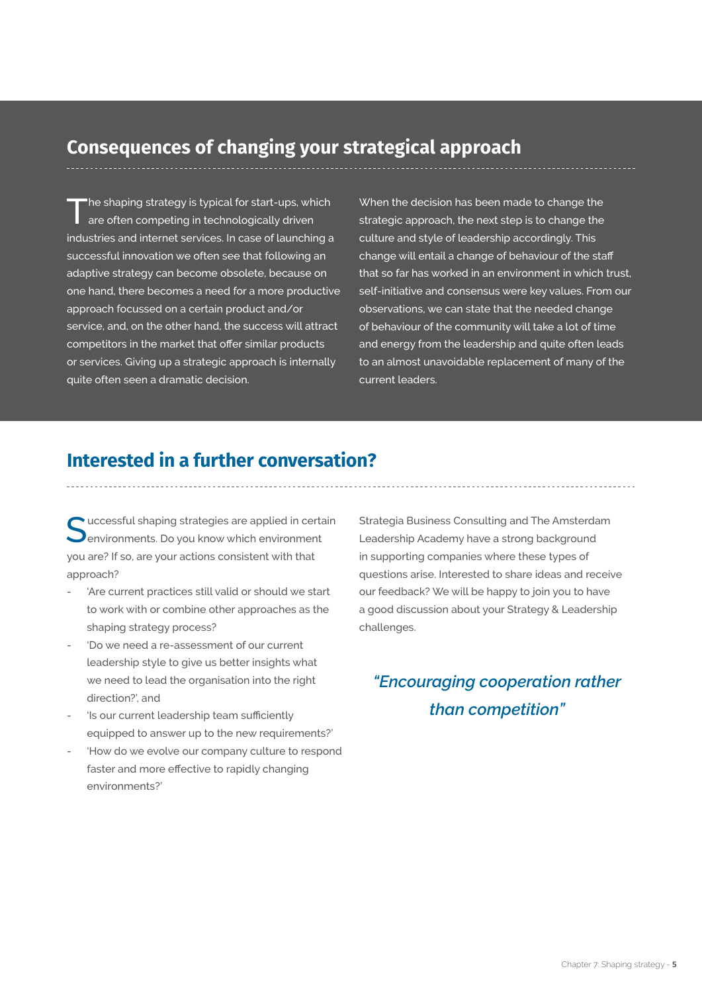#### **Consequences of changing your strategical approach**

The shaping strategy is typical for start-ups, which are often competing in technologically driven industries and internet services. In case of launching a successful innovation we often see that following an adaptive strategy can become obsolete, because on one hand, there becomes a need for a more productive approach focussed on a certain product and/or service, and, on the other hand, the success will attract competitors in the market that offer similar products or services. Giving up a strategic approach is internally quite often seen a dramatic decision.

When the decision has been made to change the strategic approach, the next step is to change the culture and style of leadership accordingly. This change will entail a change of behaviour of the staff that so far has worked in an environment in which trust, self-initiative and consensus were key values. From our observations, we can state that the needed change of behaviour of the community will take a lot of time and energy from the leadership and quite often leads to an almost unavoidable replacement of many of the current leaders.

#### **Interested in a further conversation?**

uccessful shaping strategies are applied in certain environments. Do you know which environment you are? If so, are your actions consistent with that approach?

- 'Are current practices still valid or should we start to work with or combine other approaches as the shaping strategy process?
- 'Do we need a re-assessment of our current leadership style to give us better insights what we need to lead the organisation into the right direction?', and
- 'Is our current leadership team sufficiently equipped to answer up to the new requirements?'
- 'How do we evolve our company culture to respond faster and more effective to rapidly changing environments?'

Strategia Business Consulting and The Amsterdam Leadership Academy have a strong background in supporting companies where these types of questions arise. Interested to share ideas and receive our feedback? We will be happy to join you to have a good discussion about your Strategy & Leadership challenges.

## *"Encouraging cooperation rather than competition"*